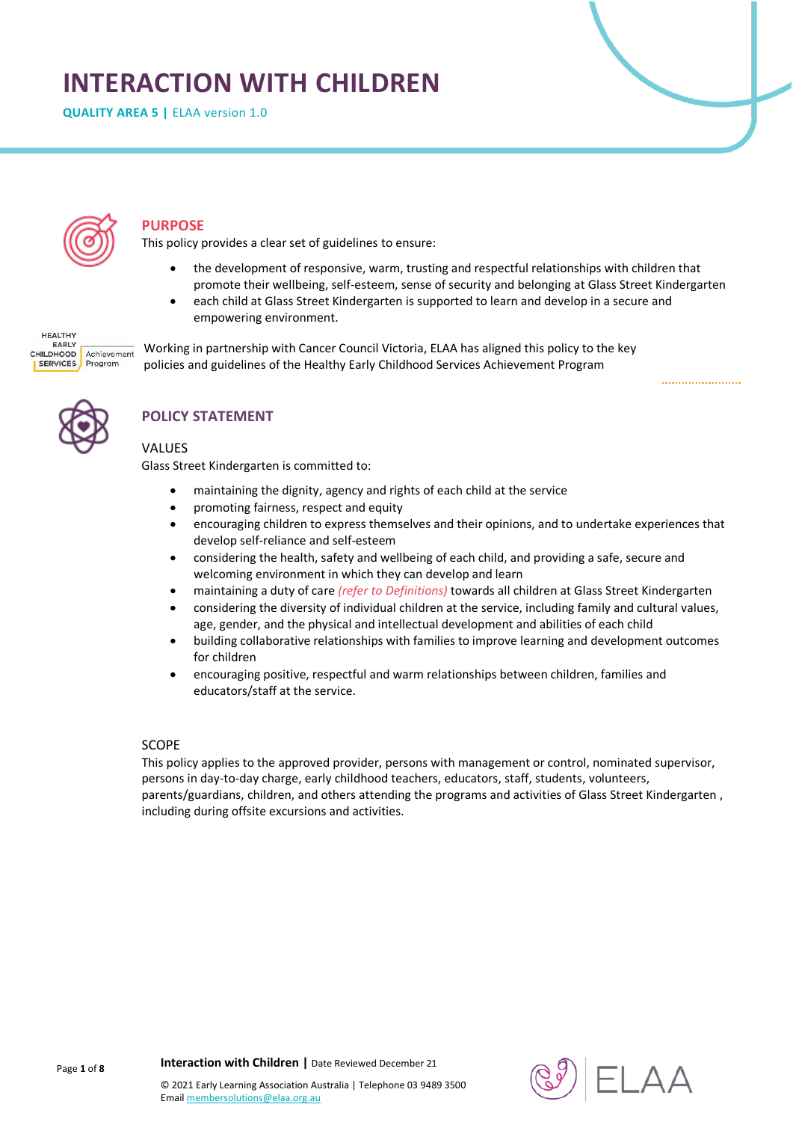# **INTERACTION WITH CHILDREN**

**QUALITY AREA 5 | ELAA version 1.0** 



### **PURPOSE**

This policy provides a clear set of guidelines to ensure:

- the development of responsive, warm, trusting and respectful relationships with children that promote their wellbeing, self-esteem, sense of security and belonging at Glass Street Kindergarten
- each child at Glass Street Kindergarten is supported to learn and develop in a secure and empowering environment.

**HEALTHY** EARLY Achievement CHILDHOOD SERVICES Program

Working in partnership with Cancer Council Victoria, ELAA has aligned this policy to the key policies and guidelines of the Healthy Early Childhood Services Achievement Program



# **POLICY STATEMENT**

#### VALUES

Glass Street Kindergarten is committed to:

- maintaining the dignity, agency and rights of each child at the service
- promoting fairness, respect and equity
- encouraging children to express themselves and their opinions, and to undertake experiences that develop self-reliance and self-esteem
- considering the health, safety and wellbeing of each child, and providing a safe, secure and welcoming environment in which they can develop and learn
- maintaining a duty of care *(refer to Definitions)* towards all children at Glass Street Kindergarten
- considering the diversity of individual children at the service, including family and cultural values, age, gender, and the physical and intellectual development and abilities of each child
- building collaborative relationships with families to improve learning and development outcomes for children
- encouraging positive, respectful and warm relationships between children, families and educators/staff at the service.

#### SCOPE

This policy applies to the approved provider, persons with management or control, nominated supervisor, persons in day-to-day charge, early childhood teachers, educators, staff, students, volunteers, parents/guardians, children, and others attending the programs and activities of Glass Street Kindergarten , including during offsite excursions and activities.



**Interaction with Children |** Date Reviewed December 21

Page **1** of **8**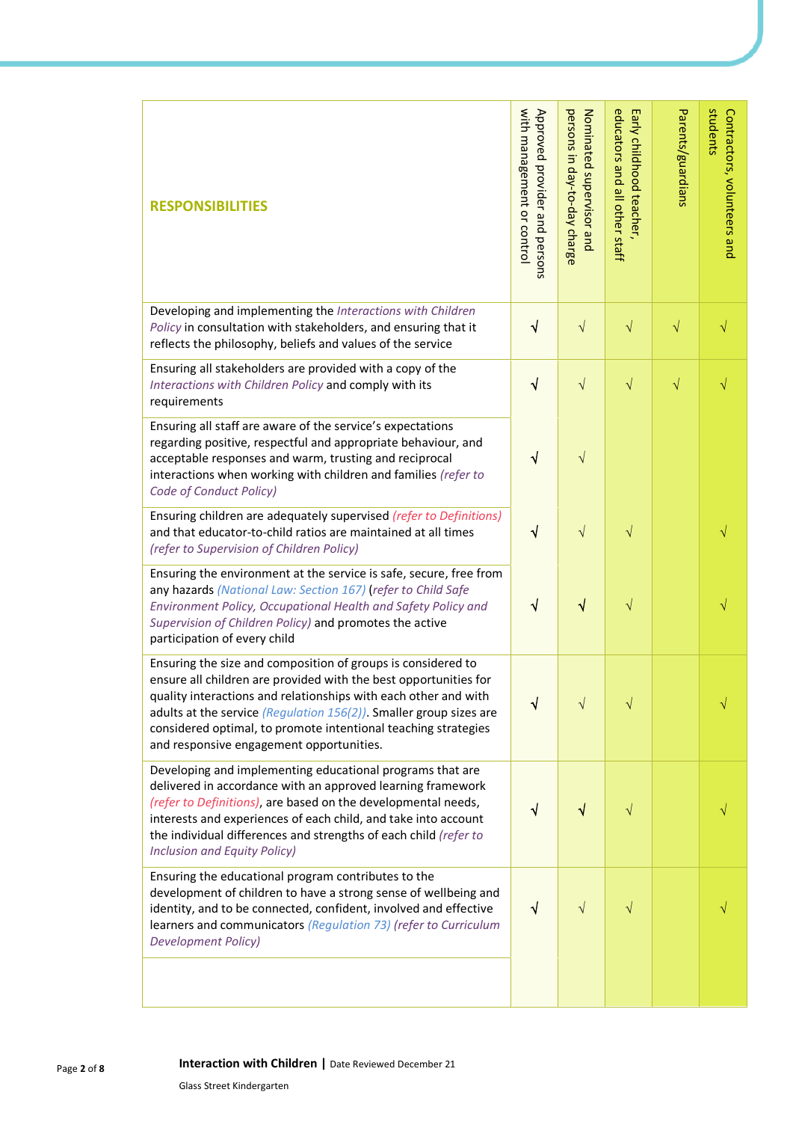| <b>RESPONSIBILITIES</b>                                                                                                                                                                                                                                                                                                                                                                    | with management or control<br>Approved provider and persons | persons in day-to-day charge<br>Nominated supervisor and | educators and all other staff<br>Early childhood teacher, | Parents/guardians | students<br>Contractors, volunteers and |
|--------------------------------------------------------------------------------------------------------------------------------------------------------------------------------------------------------------------------------------------------------------------------------------------------------------------------------------------------------------------------------------------|-------------------------------------------------------------|----------------------------------------------------------|-----------------------------------------------------------|-------------------|-----------------------------------------|
| Developing and implementing the Interactions with Children<br>Policy in consultation with stakeholders, and ensuring that it<br>reflects the philosophy, beliefs and values of the service                                                                                                                                                                                                 | $\sqrt{}$                                                   | $\sqrt{}$                                                | $\sqrt{}$                                                 | $\sqrt{}$         |                                         |
| Ensuring all stakeholders are provided with a copy of the<br>Interactions with Children Policy and comply with its<br>requirements                                                                                                                                                                                                                                                         | $\sqrt{}$                                                   | $\sqrt{ }$                                               | $\sqrt{}$                                                 | $\sqrt{}$         |                                         |
| Ensuring all staff are aware of the service's expectations<br>regarding positive, respectful and appropriate behaviour, and<br>acceptable responses and warm, trusting and reciprocal<br>interactions when working with children and families (refer to<br>Code of Conduct Policy)                                                                                                         | √                                                           | $\sqrt{}$                                                |                                                           |                   |                                         |
| Ensuring children are adequately supervised (refer to Definitions)<br>and that educator-to-child ratios are maintained at all times<br>(refer to Supervision of Children Policy)                                                                                                                                                                                                           | $\sqrt{}$                                                   | $\sqrt{}$                                                | $\sqrt{}$                                                 |                   | √                                       |
| Ensuring the environment at the service is safe, secure, free from<br>any hazards (National Law: Section 167) (refer to Child Safe<br>Environment Policy, Occupational Health and Safety Policy and<br>Supervision of Children Policy) and promotes the active<br>participation of every child                                                                                             | $\sqrt{}$                                                   | $\sqrt{}$                                                | $\sqrt{}$                                                 |                   |                                         |
| Ensuring the size and composition of groups is considered to<br>ensure all children are provided with the best opportunities for<br>quality interactions and relationships with each other and with<br>adults at the service (Regulation $156(2)$ ). Smaller group sizes are<br>considered optimal, to promote intentional teaching strategies<br>and responsive engagement opportunities. | ٦I                                                          | V                                                        | V                                                         |                   |                                         |
| Developing and implementing educational programs that are<br>delivered in accordance with an approved learning framework<br>(refer to Definitions), are based on the developmental needs,<br>interests and experiences of each child, and take into account<br>the individual differences and strengths of each child (refer to<br><b>Inclusion and Equity Policy)</b>                     | √                                                           | √                                                        | V                                                         |                   |                                         |
| Ensuring the educational program contributes to the<br>development of children to have a strong sense of wellbeing and<br>identity, and to be connected, confident, involved and effective<br>learners and communicators (Regulation 73) (refer to Curriculum<br><b>Development Policy)</b>                                                                                                | √                                                           | $\sqrt{}$                                                | $\sqrt{}$                                                 |                   |                                         |
|                                                                                                                                                                                                                                                                                                                                                                                            |                                                             |                                                          |                                                           |                   |                                         |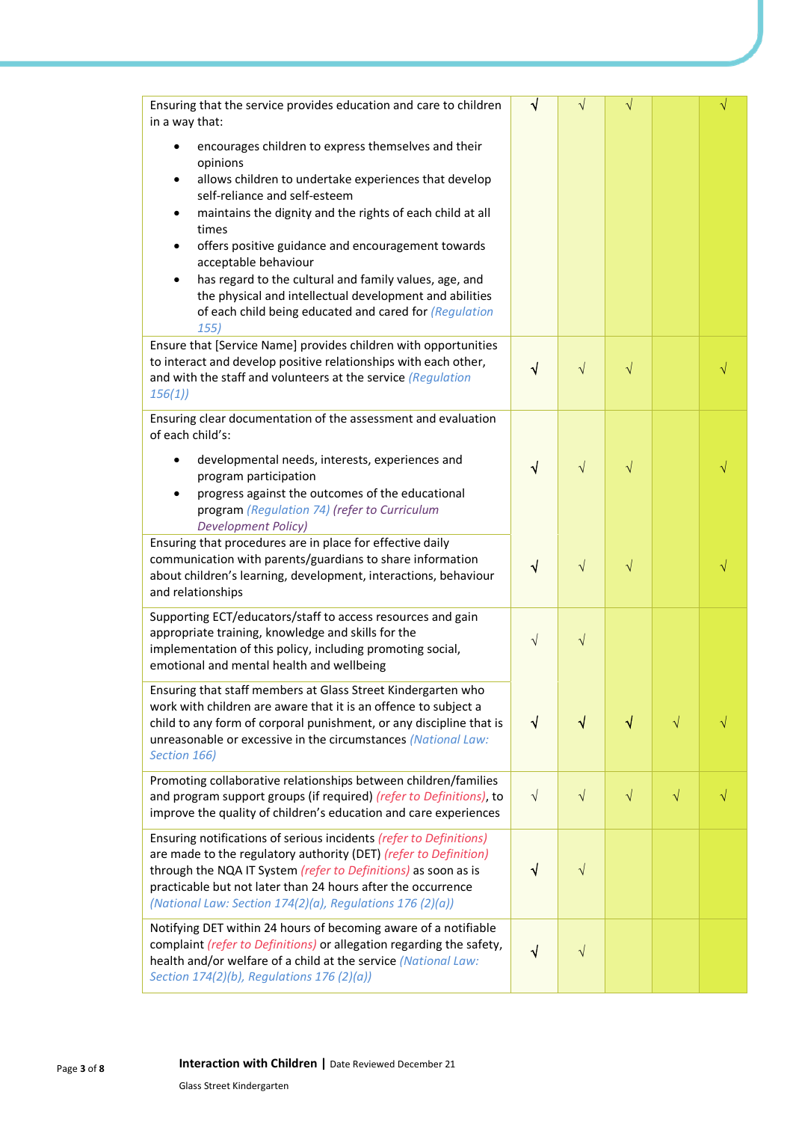| Ensuring that the service provides education and care to children<br>in a way that:                                                     | √          | V          | V         |           |   |
|-----------------------------------------------------------------------------------------------------------------------------------------|------------|------------|-----------|-----------|---|
| encourages children to express themselves and their<br>opinions                                                                         |            |            |           |           |   |
| allows children to undertake experiences that develop<br>self-reliance and self-esteem                                                  |            |            |           |           |   |
| maintains the dignity and the rights of each child at all<br>times                                                                      |            |            |           |           |   |
| offers positive guidance and encouragement towards<br>$\bullet$<br>acceptable behaviour                                                 |            |            |           |           |   |
| has regard to the cultural and family values, age, and<br>$\bullet$                                                                     |            |            |           |           |   |
| the physical and intellectual development and abilities<br>of each child being educated and cared for (Regulation<br>155)               |            |            |           |           |   |
| Ensure that [Service Name] provides children with opportunities                                                                         |            |            |           |           |   |
| to interact and develop positive relationships with each other,<br>and with the staff and volunteers at the service (Regulation         | $\sqrt{}$  | $\sqrt{}$  | $\sqrt{}$ |           |   |
| 156(1)                                                                                                                                  |            |            |           |           |   |
| Ensuring clear documentation of the assessment and evaluation<br>of each child's:                                                       |            |            |           |           |   |
| developmental needs, interests, experiences and<br>program participation                                                                | √          | $\sqrt{}$  | V         |           |   |
| progress against the outcomes of the educational                                                                                        |            |            |           |           |   |
| program (Regulation 74) (refer to Curriculum<br><b>Development Policy)</b>                                                              |            |            |           |           |   |
| Ensuring that procedures are in place for effective daily                                                                               |            |            |           |           |   |
| communication with parents/guardians to share information<br>about children's learning, development, interactions, behaviour            | √          | $\sqrt{}$  | $\sqrt{}$ |           |   |
| and relationships                                                                                                                       |            |            |           |           |   |
| Supporting ECT/educators/staff to access resources and gain<br>appropriate training, knowledge and skills for the                       |            |            |           |           |   |
| implementation of this policy, including promoting social,                                                                              | $\sqrt{ }$ | $\sqrt{}$  |           |           |   |
| emotional and mental health and wellbeing                                                                                               |            |            |           |           |   |
| Ensuring that staff members at Glass Street Kindergarten who<br>work with children are aware that it is an offence to subject a         |            |            |           |           |   |
| child to any form of corporal punishment, or any discipline that is                                                                     | $\sqrt{ }$ | $\sqrt{}$  | √         | $\sqrt{}$ |   |
| unreasonable or excessive in the circumstances (National Law:<br>Section 166)                                                           |            |            |           |           |   |
| Promoting collaborative relationships between children/families                                                                         |            |            |           |           |   |
| and program support groups (if required) (refer to Definitions), to<br>improve the quality of children's education and care experiences | $\sqrt{ }$ | $\sqrt{ }$ | $\sqrt{}$ | $\sqrt{}$ | √ |
| Ensuring notifications of serious incidents (refer to Definitions)                                                                      |            |            |           |           |   |
| are made to the regulatory authority (DET) (refer to Definition)<br>through the NQA IT System (refer to Definitions) as soon as is      | $\sqrt{ }$ | $\sqrt{}$  |           |           |   |
| practicable but not later than 24 hours after the occurrence                                                                            |            |            |           |           |   |
| (National Law: Section 174(2)(a), Regulations 176 (2)(a))                                                                               |            |            |           |           |   |
| Notifying DET within 24 hours of becoming aware of a notifiable                                                                         |            |            |           |           |   |
| complaint (refer to Definitions) or allegation regarding the safety,<br>health and/or welfare of a child at the service (National Law:  | $\sqrt{ }$ | $\sqrt{}$  |           |           |   |
| Section $174(2)(b)$ , Regulations $176(2)(a)$ )                                                                                         |            |            |           |           |   |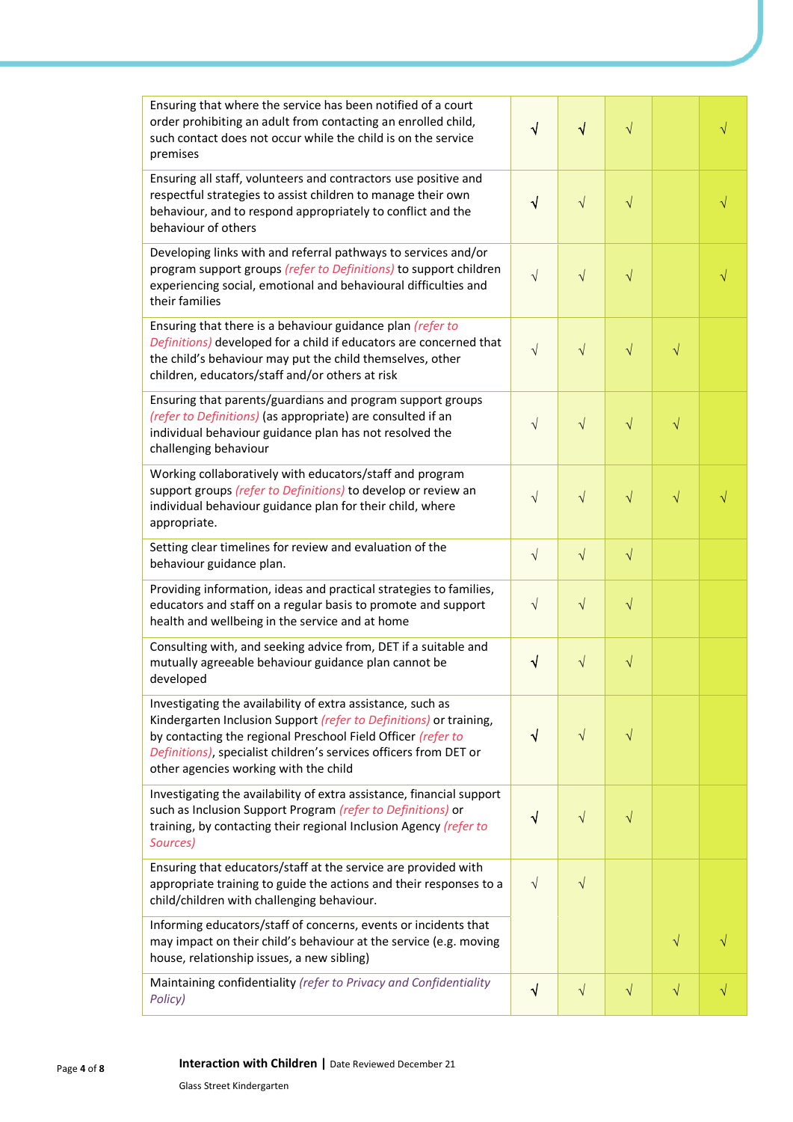| Ensuring that where the service has been notified of a court<br>order prohibiting an adult from contacting an enrolled child,<br>such contact does not occur while the child is on the service<br>premises                                                                                                      | $\sqrt{}$ | $\sqrt{}$  | $\sqrt{}$ |           |  |
|-----------------------------------------------------------------------------------------------------------------------------------------------------------------------------------------------------------------------------------------------------------------------------------------------------------------|-----------|------------|-----------|-----------|--|
| Ensuring all staff, volunteers and contractors use positive and<br>respectful strategies to assist children to manage their own<br>behaviour, and to respond appropriately to conflict and the<br>behaviour of others                                                                                           | $\sqrt{}$ | $\sqrt{}$  | $\sqrt{}$ |           |  |
| Developing links with and referral pathways to services and/or<br>program support groups (refer to Definitions) to support children<br>experiencing social, emotional and behavioural difficulties and<br>their families                                                                                        | $\sqrt{}$ | $\sqrt{ }$ | $\sqrt{}$ |           |  |
| Ensuring that there is a behaviour guidance plan (refer to<br>Definitions) developed for a child if educators are concerned that<br>the child's behaviour may put the child themselves, other<br>children, educators/staff and/or others at risk                                                                | $\sqrt{}$ | $\sqrt{}$  | $\sqrt{}$ | $\sqrt{}$ |  |
| Ensuring that parents/guardians and program support groups<br>(refer to Definitions) (as appropriate) are consulted if an<br>individual behaviour guidance plan has not resolved the<br>challenging behaviour                                                                                                   | $\sqrt{}$ | $\sqrt{}$  | $\sqrt{}$ | $\sqrt{}$ |  |
| Working collaboratively with educators/staff and program<br>support groups (refer to Definitions) to develop or review an<br>individual behaviour guidance plan for their child, where<br>appropriate.                                                                                                          | $\sqrt{}$ | $\sqrt{ }$ | $\sqrt{}$ | $\sqrt{}$ |  |
| Setting clear timelines for review and evaluation of the<br>behaviour guidance plan.                                                                                                                                                                                                                            | $\sqrt{}$ | $\sqrt{ }$ | $\sqrt{}$ |           |  |
| Providing information, ideas and practical strategies to families,<br>educators and staff on a regular basis to promote and support<br>health and wellbeing in the service and at home                                                                                                                          | $\sqrt{}$ | $\sqrt{}$  | $\sqrt{}$ |           |  |
| Consulting with, and seeking advice from, DET if a suitable and<br>mutually agreeable behaviour guidance plan cannot be<br>developed                                                                                                                                                                            | $\sqrt{}$ | $\sqrt{}$  | $\sqrt{}$ |           |  |
| Investigating the availability of extra assistance, such as<br>Kindergarten Inclusion Support (refer to Definitions) or training,<br>by contacting the regional Preschool Field Officer (refer to<br>Definitions), specialist children's services officers from DET or<br>other agencies working with the child | √         | $\sqrt{ }$ | $\sqrt{}$ |           |  |
| Investigating the availability of extra assistance, financial support<br>such as Inclusion Support Program (refer to Definitions) or<br>training, by contacting their regional Inclusion Agency (refer to<br>Sources)                                                                                           | √         | $\sqrt{}$  | $\sqrt{}$ |           |  |
| Ensuring that educators/staff at the service are provided with<br>appropriate training to guide the actions and their responses to a<br>child/children with challenging behaviour.                                                                                                                              | $\sqrt{}$ | $\sqrt{}$  |           |           |  |
| Informing educators/staff of concerns, events or incidents that<br>may impact on their child's behaviour at the service (e.g. moving<br>house, relationship issues, a new sibling)                                                                                                                              |           |            |           | $\sqrt{}$ |  |
| Maintaining confidentiality (refer to Privacy and Confidentiality<br>Policy)                                                                                                                                                                                                                                    | $\sqrt{}$ | $\sqrt{}$  | $\sqrt{}$ | $\sqrt{}$ |  |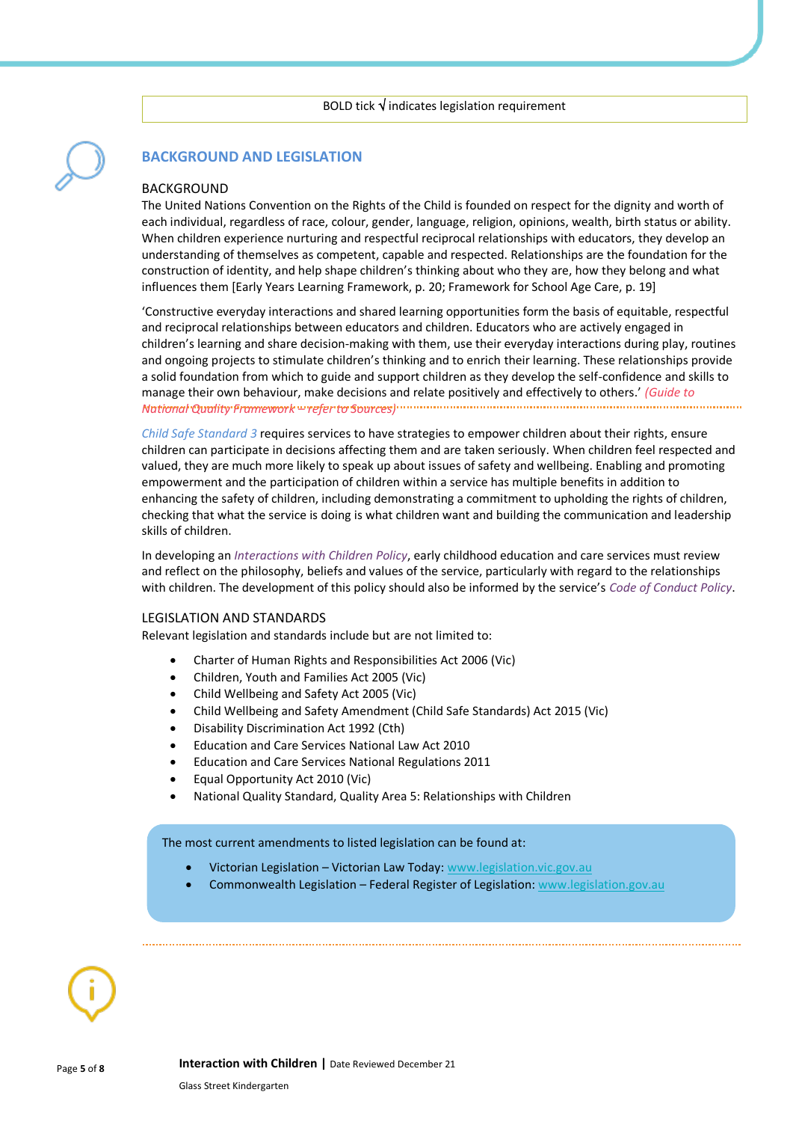### **BACKGROUND AND LEGISLATION**

#### **BACKGROUND** The United Nations Convention on the Rights of the Child is founded on respect for the dignity and worth of each individual, regardless of race, colour, gender, language, religion, opinions, wealth, birth status or ability. When children experience nurturing and respectful reciprocal relationships with educators, they develop an understanding of themselves as competent, capable and respected. Relationships are the foundation for the construction of identity, and help shape children's thinking about who they are, how they belong and what influences them [Early Years Learning Framework, p. 20; Framework for School Age Care, p. 19]

'Constructive everyday interactions and shared learning opportunities form the basis of equitable, respectful and reciprocal relationships between educators and children. Educators who are actively engaged in children's learning and share decision-making with them, use their everyday interactions during play, routines and ongoing projects to stimulate children's thinking and to enrich their learning. These relationships provide a solid foundation from which to guide and support children as they develop the self-confidence and skills to manage their own behaviour, make decisions and relate positively and effectively to others.' *(Guide to National Quality Framework – refer to Sources)*

*Child Safe Standard 3* requires services to have strategies to empower children about their rights, ensure children can participate in decisions affecting them and are taken seriously. When children feel respected and valued, they are much more likely to speak up about issues of safety and wellbeing. Enabling and promoting empowerment and the participation of children within a service has multiple benefits in addition to enhancing the safety of children, including demonstrating a commitment to upholding the rights of children, checking that what the service is doing is what children want and building the communication and leadership skills of children.

In developing an *Interactions with Children Policy*, early childhood education and care services must review and reflect on the philosophy, beliefs and values of the service, particularly with regard to the relationships with children. The development of this policy should also be informed by the service's *Code of Conduct Policy*.

#### LEGISLATION AND STANDARDS

Relevant legislation and standards include but are not limited to:

- Charter of Human Rights and Responsibilities Act 2006 (Vic)
- Children, Youth and Families Act 2005 (Vic)
- Child Wellbeing and Safety Act 2005 (Vic)
- Child Wellbeing and Safety Amendment (Child Safe Standards) Act 2015 (Vic)
- Disability Discrimination Act 1992 (Cth)
- Education and Care Services National Law Act 2010
- Education and Care Services National Regulations 2011
- Equal Opportunity Act 2010 (Vic)
- National Quality Standard, Quality Area 5: Relationships with Children

The most current amendments to listed legislation can be found at:

- Victorian Legislation Victorian Law Today: [www.legislation.vic.gov.au](http://www.legislation.vic.gov.au/)
- Commonwealth Legislation Federal Register of Legislation: [www.legislation.gov.au](http://www.legislation.gov.au/)

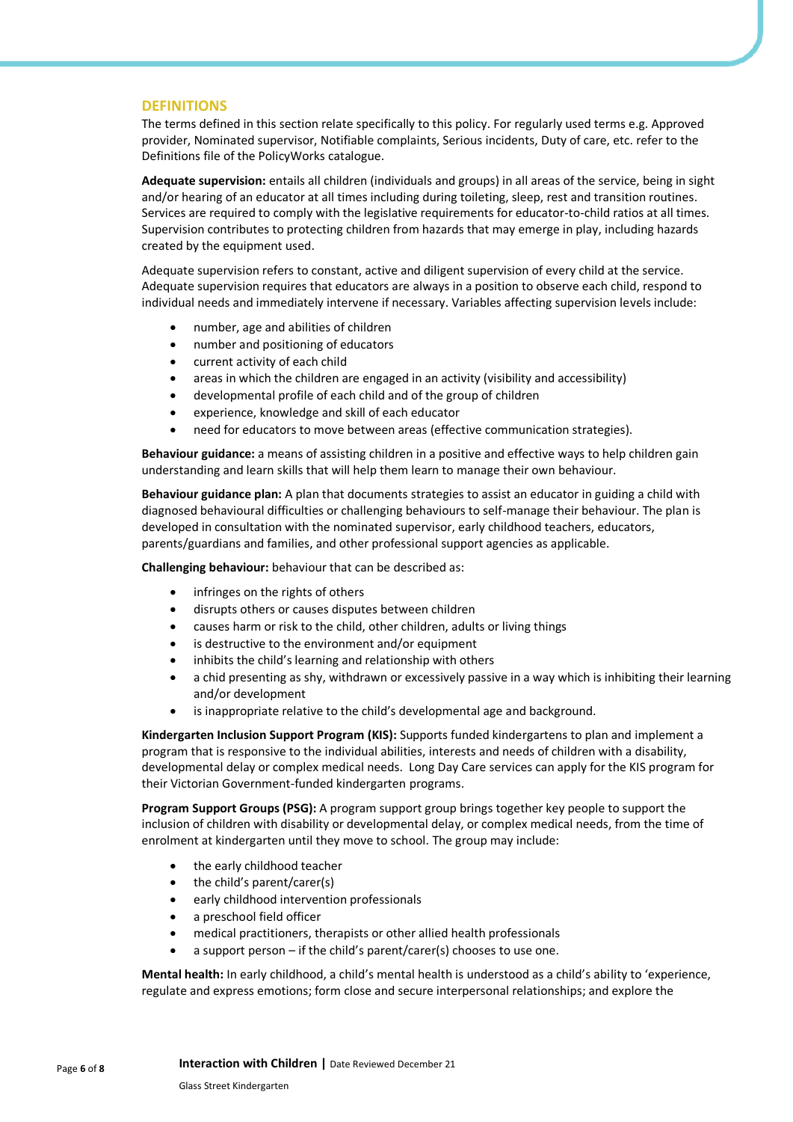#### **DEFINITIONS**

The terms defined in this section relate specifically to this policy. For regularly used terms e.g. Approved provider, Nominated supervisor, Notifiable complaints, Serious incidents, Duty of care, etc. refer to the Definitions file of the PolicyWorks catalogue.

**Adequate supervision:** entails all children (individuals and groups) in all areas of the service, being in sight and/or hearing of an educator at all times including during toileting, sleep, rest and transition routines. Services are required to comply with the legislative requirements for educator-to-child ratios at all times. Supervision contributes to protecting children from hazards that may emerge in play, including hazards created by the equipment used.

Adequate supervision refers to constant, active and diligent supervision of every child at the service. Adequate supervision requires that educators are always in a position to observe each child, respond to individual needs and immediately intervene if necessary. Variables affecting supervision levels include:

- number, age and abilities of children
- number and positioning of educators
- current activity of each child
- areas in which the children are engaged in an activity (visibility and accessibility)
- developmental profile of each child and of the group of children
- experience, knowledge and skill of each educator
- need for educators to move between areas (effective communication strategies).

**Behaviour guidance:** a means of assisting children in a positive and effective ways to help children gain understanding and learn skills that will help them learn to manage their own behaviour.

**Behaviour guidance plan:** A plan that documents strategies to assist an educator in guiding a child with diagnosed behavioural difficulties or challenging behaviours to self-manage their behaviour. The plan is developed in consultation with the nominated supervisor, early childhood teachers, educators, parents/guardians and families, and other professional support agencies as applicable.

**Challenging behaviour:** behaviour that can be described as:

- infringes on the rights of others
- disrupts others or causes disputes between children
- causes harm or risk to the child, other children, adults or living things
- is destructive to the environment and/or equipment
- inhibits the child's learning and relationship with others
- a chid presenting as shy, withdrawn or excessively passive in a way which is inhibiting their learning and/or development
- is inappropriate relative to the child's developmental age and background.

**Kindergarten Inclusion Support Program (KIS):** Supports funded kindergartens to plan and implement a program that is responsive to the individual abilities, interests and needs of children with a disability, developmental delay or complex medical needs.Long Day Care services can apply for the KIS program for their Victorian Government-funded kindergarten programs.

**Program Support Groups (PSG):** A program support group brings together key people to support the inclusion of children with disability or developmental delay, or complex medical needs, from the time of enrolment at kindergarten until they move to school. The group may include:

- the early childhood teacher
- the child's parent/carer(s)
- early childhood intervention professionals
- a preschool field officer
- medical practitioners, therapists or other allied health professionals
- a support person if the child's parent/carer(s) chooses to use one.

**Mental health:** In early childhood, a child's mental health is understood as a child's ability to 'experience, regulate and express emotions; form close and secure interpersonal relationships; and explore the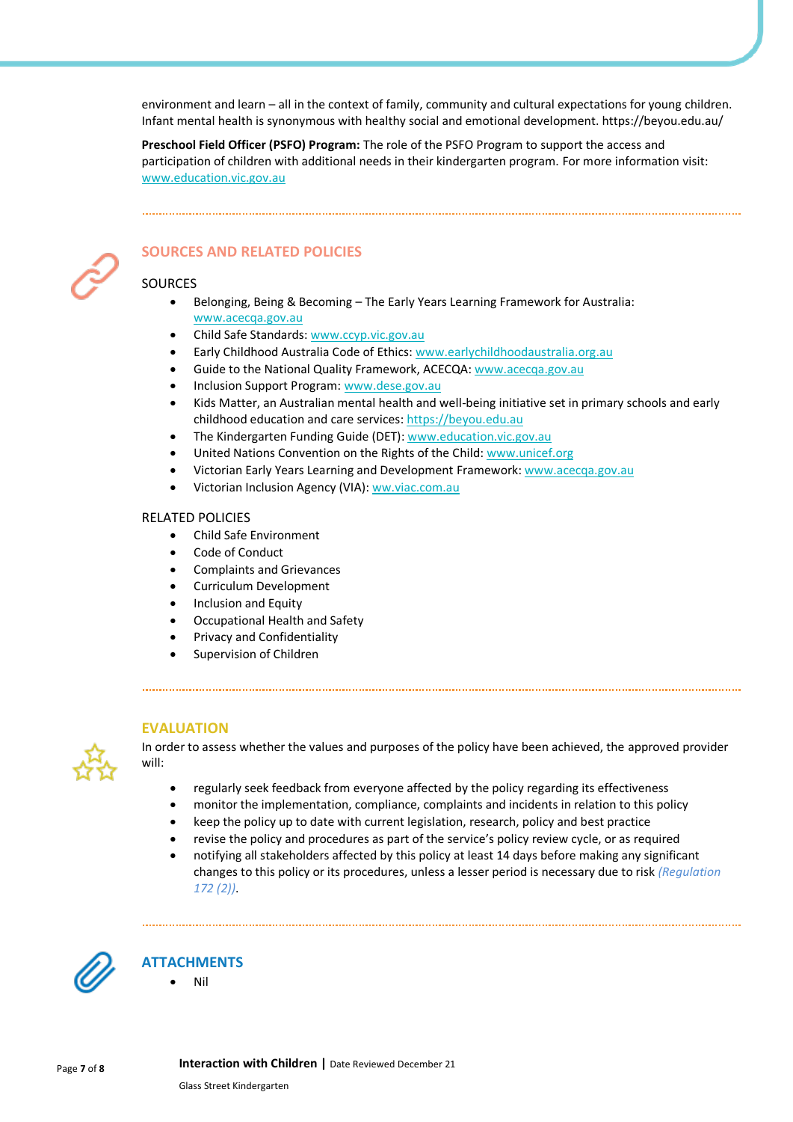environment and learn – all in the context of family, community and cultural expectations for young children. Infant mental health is synonymous with healthy social and emotional development. https://beyou.edu.au/

**Preschool Field Officer (PSFO) Program:** The role of the PSFO Program to support the access and participation of children with additional needs in their kindergarten program. For more information visit: [www.education.vic.gov.au](http://www.education.vic.gov.au/)



# **SOURCES AND RELATED POLICIES**

#### SOURCES

- Belonging, Being & Becoming The Early Years Learning Framework for Australia: [www.acecqa.gov.au](http://www.acecqa.gov.au/)
- Child Safe Standards[: www.ccyp.vic.gov.au](https://ccyp.vic.gov.au/)
- Early Childhood Australia Code of Ethics: [www.earlychildhoodaustralia.org.au](http://www.earlychildhoodaustralia.org.au/)
- Guide to the National Quality Framework, ACECQA: [www.acecqa.gov.au](http://www.acecqa.gov.au/)
- Inclusion Support Program[: www.dese.gov.au](https://www.dese.gov.au/)
- Kids Matter, an Australian mental health and well-being initiative set in primary schools and early childhood education and care services[: https://beyou.edu.au](https://beyou.edu.au/)
- The Kindergarten Funding Guide (DET): [www.education.vic.gov.au](https://www.education.vic.gov.au/Pages/default.aspx)
- United Nations Convention on the Rights of the Child[: www.unicef.org](https://www.unicef.org/)
- Victorian Early Years Learning and Development Framework: [www.acecqa.gov.au](http://www.acecqa.gov.au/)
- Victorian Inclusion Agency (VIA)[: ww.viac.com.au](https://viac.com.au/)

#### RELATED POLICIES

- Child Safe Environment
- Code of Conduct
- Complaints and Grievances
- Curriculum Development
- Inclusion and Equity
- Occupational Health and Safety
- Privacy and Confidentiality
- Supervision of Children

#### **EVALUATION**



In order to assess whether the values and purposes of the policy have been achieved, the approved provider will:

- regularly seek feedback from everyone affected by the policy regarding its effectiveness
- monitor the implementation, compliance, complaints and incidents in relation to this policy
- keep the policy up to date with current legislation, research, policy and best practice
- revise the policy and procedures as part of the service's policy review cycle, or as required
- notifying all stakeholders affected by this policy at least 14 days before making any significant changes to this policy or its procedures, unless a lesser period is necessary due to risk *(Regulation 172 (2))*.



# **ATTACHMENTS**

• Nil